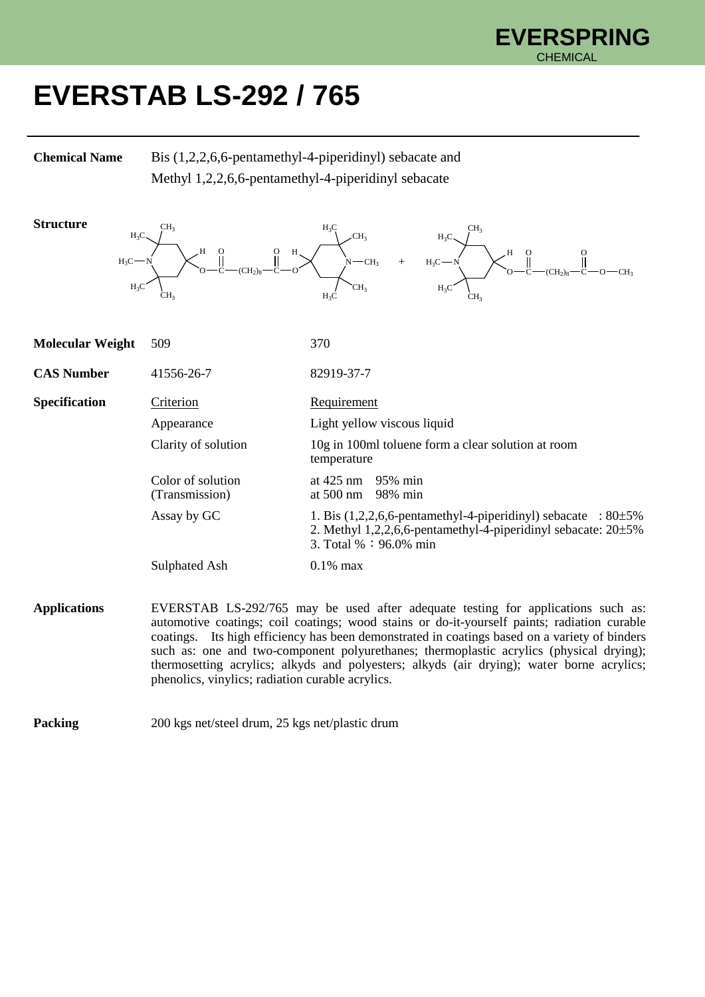

## **EVERSTAB LS-292 / 765**

**Chemical Name** Bis (1,2,2,6,6-pentamethyl-4-piperidinyl) sebacate and Methyl 1,2,2,6,6-pentamethyl-4-piperidinyl sebacate



**Applications** EVERSTAB LS-292/765 may be used after adequate testing for applications such as: automotive coatings; coil coatings; wood stains or do-it-yourself paints; radiation curable coatings. Its high efficiency has been demonstrated in coatings based on a variety of binders such as: one and two-component polyurethanes; thermoplastic acrylics (physical drying); thermosetting acrylics; alkyds and polyesters; alkyds (air drying); water borne acrylics; phenolics, vinylics; radiation curable acrylics.

**Packing** 200 kgs net/steel drum, 25 kgs net/plastic drum